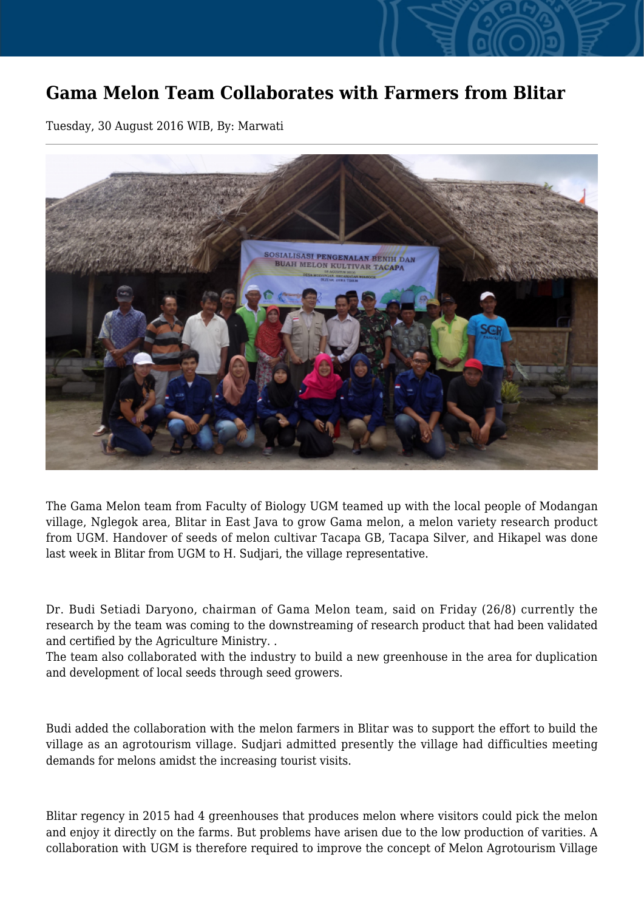## **Gama Melon Team Collaborates with Farmers from Blitar**

Tuesday, 30 August 2016 WIB, By: Marwati



The Gama Melon team from Faculty of Biology UGM teamed up with the local people of Modangan village, Nglegok area, Blitar in East Java to grow Gama melon, a melon variety research product from UGM. Handover of seeds of melon cultivar Tacapa GB, Tacapa Silver, and Hikapel was done last week in Blitar from UGM to H. Sudjari, the village representative.

Dr. Budi Setiadi Daryono, chairman of Gama Melon team, said on Friday (26/8) currently the research by the team was coming to the downstreaming of research product that had been validated and certified by the Agriculture Ministry. .

The team also collaborated with the industry to build a new greenhouse in the area for duplication and development of local seeds through seed growers.

Budi added the collaboration with the melon farmers in Blitar was to support the effort to build the village as an agrotourism village. Sudjari admitted presently the village had difficulties meeting demands for melons amidst the increasing tourist visits.

Blitar regency in 2015 had 4 greenhouses that produces melon where visitors could pick the melon and enjoy it directly on the farms. But problems have arisen due to the low production of varities. A collaboration with UGM is therefore required to improve the concept of Melon Agrotourism Village